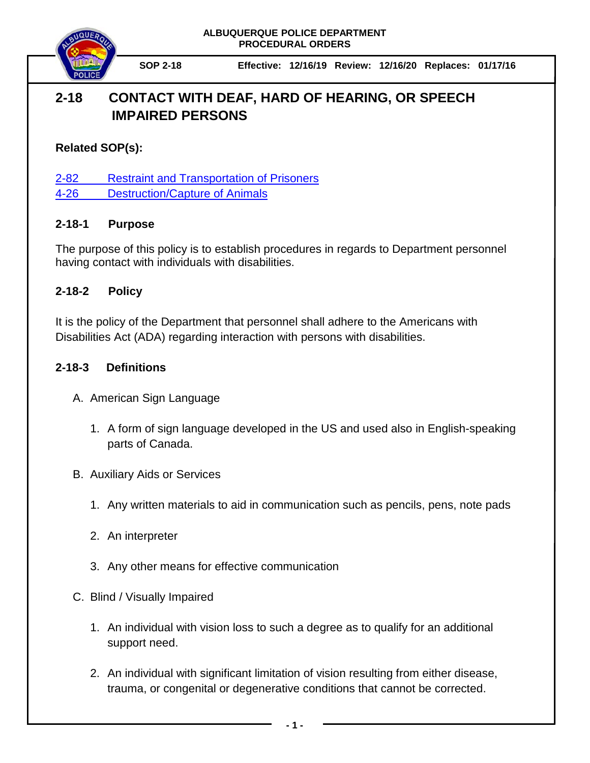**ALBUQUERQUE POLICE DEPARTMENT PROCEDURAL ORDERS**



**SOP 2-18 Effective: 12/16/19 Review: 12/16/20 Replaces: 01/17/16**

# **2-18 CONTACT WITH DEAF, HARD OF HEARING, OR SPEECH IMPAIRED PERSONS**

### **Related SOP(s):**

[2-82 Restraint and Transportation of Prisoners](https://powerdms.com/link/IDS/document/?id=102)

[4-26 Destruction/Capture of Animals](https://powerdms.com/link/IDS/document/?id=527)

### **2-18-1 Purpose**

The purpose of this policy is to establish procedures in regards to Department personnel having contact with individuals with disabilities.

### **2-18-2 Policy**

It is the policy of the Department that personnel shall adhere to the Americans with Disabilities Act (ADA) regarding interaction with persons with disabilities.

## **2-18-3 Definitions**

- A. American Sign Language
	- 1. A form of sign language developed in the US and used also in English-speaking parts of Canada.
- B. Auxiliary Aids or Services
	- 1. Any written materials to aid in communication such as pencils, pens, note pads
	- 2. An interpreter
	- 3. Any other means for effective communication
- C. Blind / Visually Impaired
	- 1. An individual with vision loss to such a degree as to qualify for an additional support need.
	- 2. An individual with significant limitation of vision resulting from either disease, trauma, or congenital or degenerative conditions that cannot be corrected.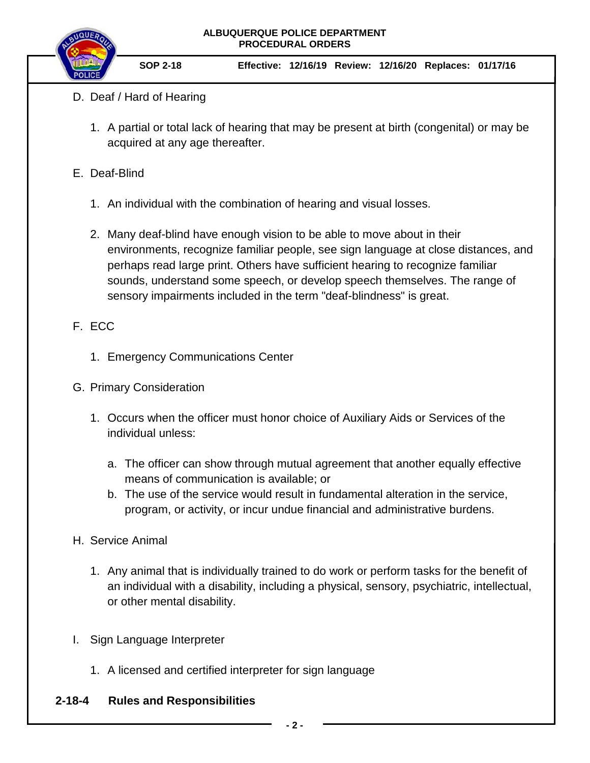#### **ALBUQUERQUE POLICE DEPARTMENT PROCEDURAL ORDERS**



**SOP 2-18 Effective: 12/16/19 Review: 12/16/20 Replaces: 01/17/16**

- D. Deaf / Hard of Hearing
	- 1. A partial or total lack of hearing that may be present at birth (congenital) or may be acquired at any age thereafter.
- E. Deaf-Blind
	- 1. An individual with the combination of hearing and visual losses.
	- 2. Many deaf-blind have enough vision to be able to move about in their environments, recognize familiar people, see sign language at close distances, and perhaps read large print. Others have sufficient hearing to recognize familiar sounds, understand some speech, or develop speech themselves. The range of sensory impairments included in the term "deaf-blindness" is great.
- F. ECC
	- 1. Emergency Communications Center
- G. Primary Consideration
	- 1. Occurs when the officer must honor choice of Auxiliary Aids or Services of the individual unless:
		- a. The officer can show through mutual agreement that another equally effective means of communication is available; or
		- b. The use of the service would result in fundamental alteration in the service, program, or activity, or incur undue financial and administrative burdens.
- H. Service Animal
	- 1. Any animal that is individually trained to do work or perform tasks for the benefit of an individual with a disability, including a physical, sensory, psychiatric, intellectual, or other mental disability.
- I. Sign Language Interpreter
	- 1. A licensed and certified interpreter for sign language

#### **2-18-4 Rules and Responsibilities**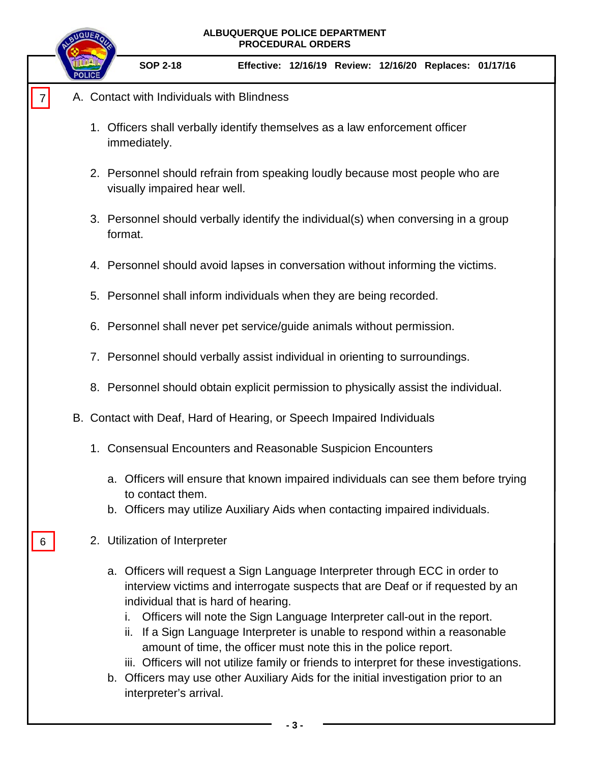|   | ALBUQUERQUE POLICE DEPARTMENT<br><b>PROCEDURAL ORDERS</b>                                                                                                                                                                                                                                                                                                                                                                                                                                                                                                                                                                                             |
|---|-------------------------------------------------------------------------------------------------------------------------------------------------------------------------------------------------------------------------------------------------------------------------------------------------------------------------------------------------------------------------------------------------------------------------------------------------------------------------------------------------------------------------------------------------------------------------------------------------------------------------------------------------------|
|   | <b>SOP 2-18</b><br>Effective: 12/16/19 Review: 12/16/20 Replaces: 01/17/16                                                                                                                                                                                                                                                                                                                                                                                                                                                                                                                                                                            |
|   | A. Contact with Individuals with Blindness                                                                                                                                                                                                                                                                                                                                                                                                                                                                                                                                                                                                            |
|   | 1. Officers shall verbally identify themselves as a law enforcement officer<br>immediately.                                                                                                                                                                                                                                                                                                                                                                                                                                                                                                                                                           |
|   | 2. Personnel should refrain from speaking loudly because most people who are<br>visually impaired hear well.                                                                                                                                                                                                                                                                                                                                                                                                                                                                                                                                          |
|   | 3. Personnel should verbally identify the individual(s) when conversing in a group<br>format.                                                                                                                                                                                                                                                                                                                                                                                                                                                                                                                                                         |
|   | 4. Personnel should avoid lapses in conversation without informing the victims.                                                                                                                                                                                                                                                                                                                                                                                                                                                                                                                                                                       |
|   | 5. Personnel shall inform individuals when they are being recorded.                                                                                                                                                                                                                                                                                                                                                                                                                                                                                                                                                                                   |
|   | 6. Personnel shall never pet service/guide animals without permission.                                                                                                                                                                                                                                                                                                                                                                                                                                                                                                                                                                                |
|   | 7. Personnel should verbally assist individual in orienting to surroundings.                                                                                                                                                                                                                                                                                                                                                                                                                                                                                                                                                                          |
|   | 8. Personnel should obtain explicit permission to physically assist the individual.                                                                                                                                                                                                                                                                                                                                                                                                                                                                                                                                                                   |
|   | B. Contact with Deaf, Hard of Hearing, or Speech Impaired Individuals                                                                                                                                                                                                                                                                                                                                                                                                                                                                                                                                                                                 |
|   | 1. Consensual Encounters and Reasonable Suspicion Encounters                                                                                                                                                                                                                                                                                                                                                                                                                                                                                                                                                                                          |
|   | a. Officers will ensure that known impaired individuals can see them before trying<br>to contact them.                                                                                                                                                                                                                                                                                                                                                                                                                                                                                                                                                |
|   | b. Officers may utilize Auxiliary Aids when contacting impaired individuals.                                                                                                                                                                                                                                                                                                                                                                                                                                                                                                                                                                          |
| 6 | 2. Utilization of Interpreter                                                                                                                                                                                                                                                                                                                                                                                                                                                                                                                                                                                                                         |
|   | a. Officers will request a Sign Language Interpreter through ECC in order to<br>interview victims and interrogate suspects that are Deaf or if requested by an<br>individual that is hard of hearing.<br>Officers will note the Sign Language Interpreter call-out in the report.<br>i.<br>ii. If a Sign Language Interpreter is unable to respond within a reasonable<br>amount of time, the officer must note this in the police report.<br>iii. Officers will not utilize family or friends to interpret for these investigations.<br>b. Officers may use other Auxiliary Aids for the initial investigation prior to an<br>interpreter's arrival. |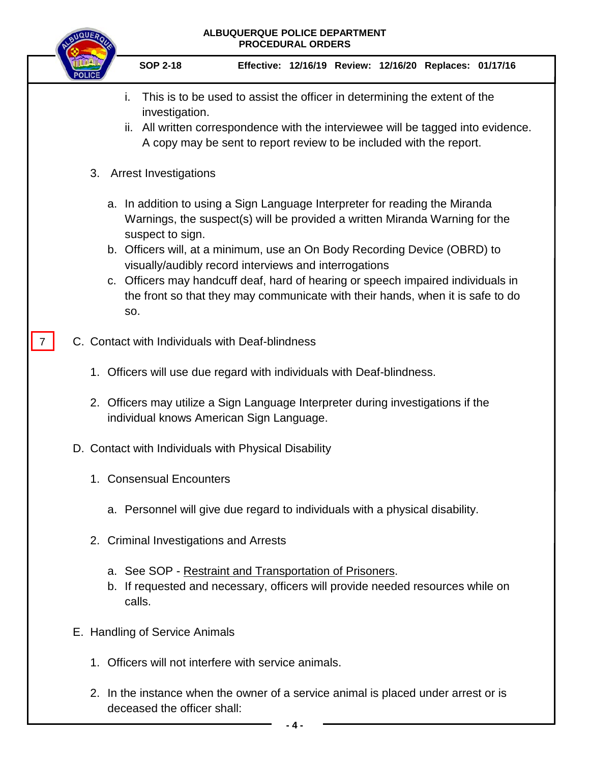